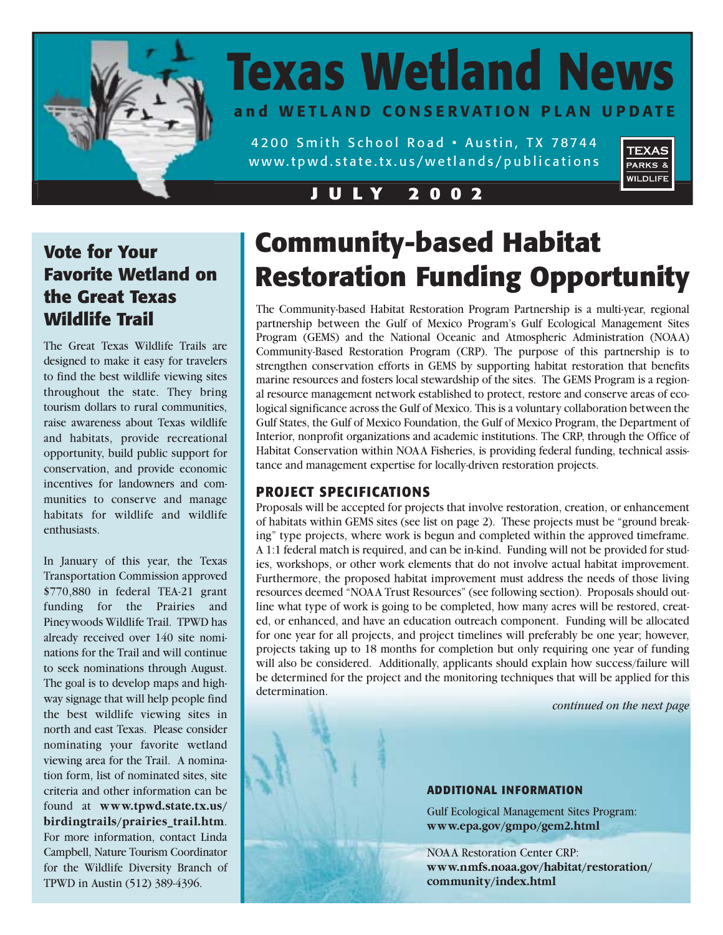

# **Texas Wetland News and WETLAND CONSERVATION PLAN UPDATE**

4200 Smith School Road • Austin, TX 78744 www.tpwd.state.tx.us/wetlands/publications



# **Vote for Your Favorite Wetland on the Great Texas**

The Great Texas Wildlife Trails are designed to make it easy for travelers to find the best wildlife viewing sites throughout the state. They bring tourism dollars to rural communities, raise awareness about Texas wildlife and habitats, provide recreational opportunity, build public support for conservation, and provide economic incentives for landowners and communities to conserve and manage habitats for wildlife and wildlife enthusiasts.

In January of this year, the Texas Transportation Commission approved \$770,880 in federal TEA-21 grant funding for the Prairies and Pineywoods Wildlife Trail. TPWD has already received over 140 site nominations for the Trail and will continue to seek nominations through August. The goal is to develop maps and highway signage that will help people find the best wildlife viewing sites in north and east Texas. Please consider nominating your favorite wetland viewing area for the Trail. A nomination form, list of nominated sites, site criteria and other information can be found at **www.tpwd.state.tx.us/ birdingtrails/prairies\_trail.htm**. For more information, contact Linda Campbell, Nature Tourism Coordinator for the Wildlife Diversity Branch of TPWD in Austin (512) 389-4396.

# **Community-based Habitat Restoration Funding Opportunity**

**Wildlife Trail** The Community-based Habitat Restoration Program Partnership is a multi-year, regional partnership between the Gulf of Mexico Program's Gulf Ecological Management Sites Program (GEMS) and the National Oceanic and Atmospheric Administration (NOAA) Community-Based Restoration Program (CRP). The purpose of this partnership is to strengthen conservation efforts in GEMS by supporting habitat restoration that benefits marine resources and fosters local stewardship of the sites. The GEMS Program is a regional resource management network established to protect, restore and conserve areas of ecological significance across the Gulf of Mexico. This is a voluntary collaboration between the Gulf States, the Gulf of Mexico Foundation, the Gulf of Mexico Program, the Department of Interior, nonprofit organizations and academic institutions. The CRP, through the Office of Habitat Conservation within NOAA Fisheries, is providing federal funding, technical assistance and management expertise for locally-driven restoration projects.

## **PROJECT SPECIFICATIONS**

Proposals will be accepted for projects that involve restoration, creation, or enhancement of habitats within GEMS sites (see list on page 2). These projects must be "ground breaking" type projects, where work is begun and completed within the approved timeframe. A 1:1 federal match is required, and can be in-kind. Funding will not be provided for studies, workshops, or other work elements that do not involve actual habitat improvement. Furthermore, the proposed habitat improvement must address the needs of those living resources deemed "NOAA Trust Resources" (see following section). Proposals should outline what type of work is going to be completed, how many acres will be restored, created, or enhanced, and have an education outreach component. Funding will be allocated for one year for all projects, and project timelines will preferably be one year; however, projects taking up to 18 months for completion but only requiring one year of funding will also be considered. Additionally, applicants should explain how success/failure will be determined for the project and the monitoring techniques that will be applied for this determination.

*continued on the next page*

**TEXAS** PARKS & **WILDLIFE** 

#### **ADDITIONAL INFORMATION**

Gulf Ecological Management Sites Program: **www.epa.gov/gmpo/gem2.html**

NOAA Restoration Center CRP: **www.nmfs.noaa.gov/habitat/restoration/ community/index.html**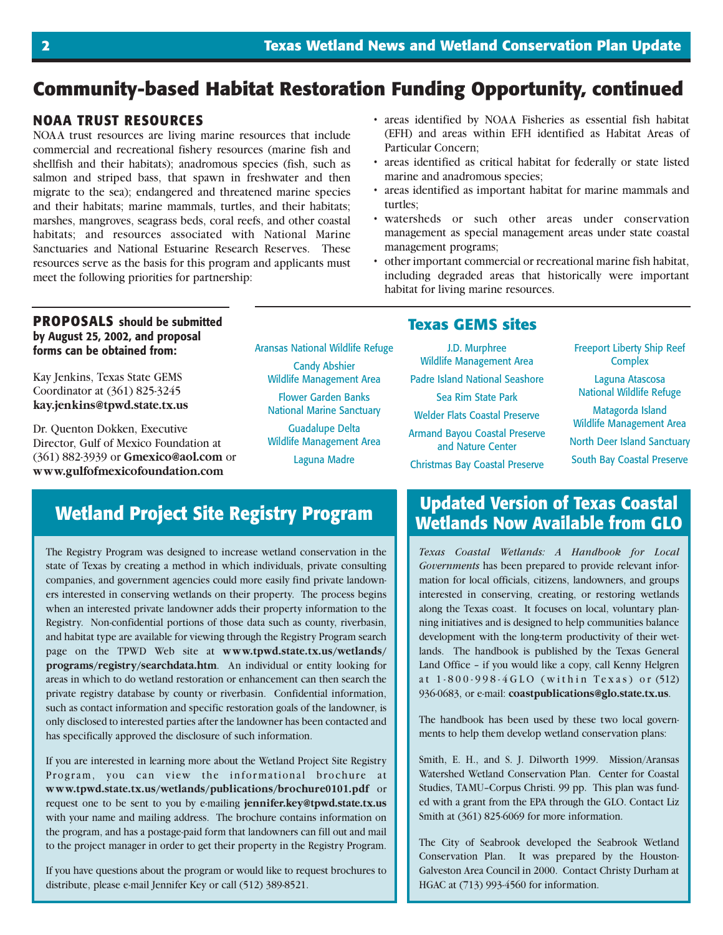# **Community-based Habitat Restoration Funding Opportunity, continued**

#### **NOAA TRUST RESOURCES**

NOAA trust resources are living marine resources that include commercial and recreational fishery resources (marine fish and shellfish and their habitats); anadromous species (fish, such as salmon and striped bass, that spawn in freshwater and then migrate to the sea); endangered and threatened marine species and their habitats; marine mammals, turtles, and their habitats; marshes, mangroves, seagrass beds, coral reefs, and other coastal habitats; and resources associated with National Marine Sanctuaries and National Estuarine Research Reserves. These resources serve as the basis for this program and applicants must meet the following priorities for partnership:

- areas identified by NOAA Fisheries as essential fish habitat (EFH) and areas within EFH identified as Habitat Areas of Particular Concern;
- areas identified as critical habitat for federally or state listed marine and anadromous species;
- areas identified as important habitat for marine mammals and turtles;
- watersheds or such other areas under conservation management as special management areas under state coastal management programs;
- other important commercial or recreational marine fish habitat, including degraded areas that historically were important habitat for living marine resources.

#### **PROPOSALS should be submitted by August 25, 2002, and proposal forms can be obtained from:**

Kay Jenkins, Texas State GEMS Coordinator at (361) 825-3245 **kay.jenkins@tpwd.state.tx.us**

Dr. Quenton Dokken, Executive Director, Gulf of Mexico Foundation at (361) 882-3939 or **Gmexico@aol.com** or **www.gulfofmexicofoundation.com**

Aransas National Wildlife Refuge Candy Abshier Wildlife Management Area Flower Garden Banks National Marine Sanctuary Guadalupe Delta Wildlife Management Area Laguna Madre

#### **Texas GEMS sites**

J.D. Murphree Wildlife Management Area Padre Island National Seashore Sea Rim State Park Welder Flats Coastal Preserve Armand Bayou Coastal Preserve and Nature Center Christmas Bay Coastal Preserve Freeport Liberty Ship Reef **Complex** 

Laguna Atascosa National Wildlife Refuge

Matagorda Island Wildlife Management Area North Deer Island Sanctuary South Bay Coastal Preserve

## **Wetland Project Site Registry Program**

The Registry Program was designed to increase wetland conservation in the state of Texas by creating a method in which individuals, private consulting companies, and government agencies could more easily find private landowners interested in conserving wetlands on their property. The process begins when an interested private landowner adds their property information to the Registry. Non-confidential portions of those data such as county, riverbasin, and habitat type are available for viewing through the Registry Program search page on the TPWD Web site at **www.tpwd.state.tx.us/wetlands/ programs/registry/searchdata.htm**. An individual or entity looking for areas in which to do wetland restoration or enhancement can then search the private registry database by county or riverbasin. Confidential information, such as contact information and specific restoration goals of the landowner, is only disclosed to interested parties after the landowner has been contacted and has specifically approved the disclosure of such information.

If you are interested in learning more about the Wetland Project Site Registry Program, you can view the informational brochure at **www.tpwd.state.tx.us/wetlands/publications/brochure0101.pdf** or request one to be sent to you by e-mailing **jennifer.key@tpwd.state.tx.us** with your name and mailing address. The brochure contains information on the program, and has a postage-paid form that landowners can fill out and mail to the project manager in order to get their property in the Registry Program.

If you have questions about the program or would like to request brochures to distribute, please e-mail Jennifer Key or call (512) 389-8521.

## **Updated Version of Texas Coastal Wetlands Now Available from GLO**

*Texas Coastal Wetlands: A Handbook for Local Governments* has been prepared to provide relevant information for local officials, citizens, landowners, and groups interested in conserving, creating, or restoring wetlands along the Texas coast. It focuses on local, voluntary planning initiatives and is designed to help communities balance development with the long-term productivity of their wetlands. The handbook is published by the Texas General Land Office – if you would like a copy, call Kenny Helgren at 1-800-998-4GLO (within Texas) or (512) 936-0683, or e-mail: **coastpublications@glo.state.tx.us**.

The handbook has been used by these two local governments to help them develop wetland conservation plans:

Smith, E. H., and S. J. Dilworth 1999. Mission/Aransas Watershed Wetland Conservation Plan. Center for Coastal Studies, TAMU–Corpus Christi. 99 pp. This plan was funded with a grant from the EPA through the GLO. Contact Liz Smith at (361) 825-6069 for more information.

The City of Seabrook developed the Seabrook Wetland Conservation Plan. It was prepared by the Houston-Galveston Area Council in 2000. Contact Christy Durham at HGAC at (713) 993-4560 for information.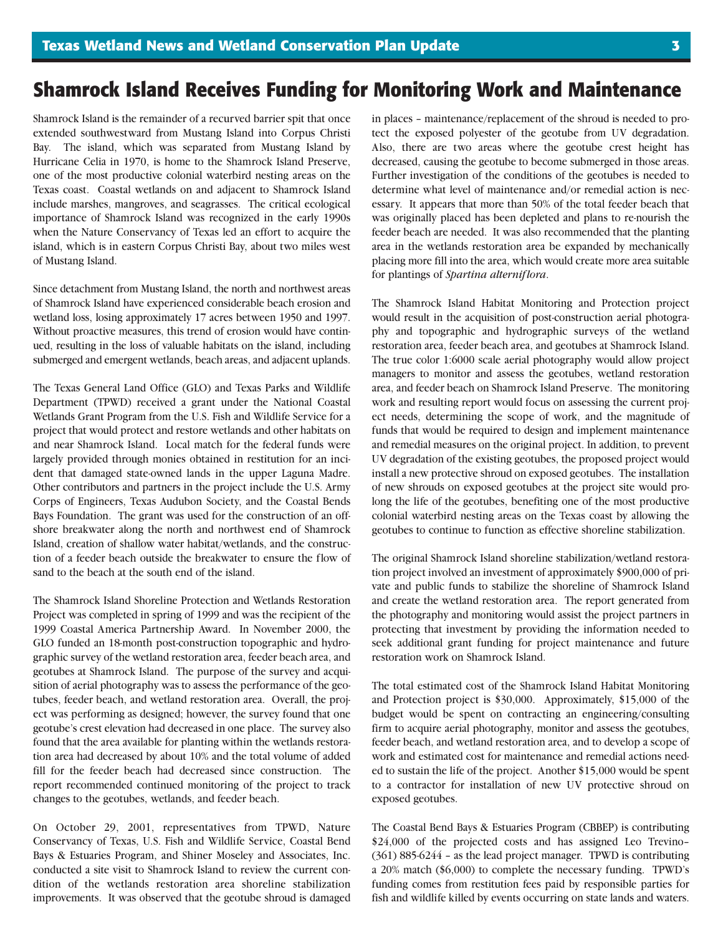# **Shamrock Island Receives Funding for Monitoring Work and Maintenance**

Shamrock Island is the remainder of a recurved barrier spit that once extended southwestward from Mustang Island into Corpus Christi Bay. The island, which was separated from Mustang Island by Hurricane Celia in 1970, is home to the Shamrock Island Preserve, one of the most productive colonial waterbird nesting areas on the Texas coast. Coastal wetlands on and adjacent to Shamrock Island include marshes, mangroves, and seagrasses. The critical ecological importance of Shamrock Island was recognized in the early 1990s when the Nature Conservancy of Texas led an effort to acquire the island, which is in eastern Corpus Christi Bay, about two miles west of Mustang Island.

Since detachment from Mustang Island, the north and northwest areas of Shamrock Island have experienced considerable beach erosion and wetland loss, losing approximately 17 acres between 1950 and 1997. Without proactive measures, this trend of erosion would have continued, resulting in the loss of valuable habitats on the island, including submerged and emergent wetlands, beach areas, and adjacent uplands.

The Texas General Land Office (GLO) and Texas Parks and Wildlife Department (TPWD) received a grant under the National Coastal Wetlands Grant Program from the U.S. Fish and Wildlife Service for a project that would protect and restore wetlands and other habitats on and near Shamrock Island. Local match for the federal funds were largely provided through monies obtained in restitution for an incident that damaged state-owned lands in the upper Laguna Madre. Other contributors and partners in the project include the U.S. Army Corps of Engineers, Texas Audubon Society, and the Coastal Bends Bays Foundation. The grant was used for the construction of an offshore breakwater along the north and northwest end of Shamrock Island, creation of shallow water habitat/wetlands, and the construction of a feeder beach outside the breakwater to ensure the flow of sand to the beach at the south end of the island.

The Shamrock Island Shoreline Protection and Wetlands Restoration Project was completed in spring of 1999 and was the recipient of the 1999 Coastal America Partnership Award. In November 2000, the GLO funded an 18-month post-construction topographic and hydrographic survey of the wetland restoration area, feeder beach area, and geotubes at Shamrock Island. The purpose of the survey and acquisition of aerial photography was to assess the performance of the geotubes, feeder beach, and wetland restoration area. Overall, the project was performing as designed; however, the survey found that one geotube's crest elevation had decreased in one place. The survey also found that the area available for planting within the wetlands restoration area had decreased by about 10% and the total volume of added fill for the feeder beach had decreased since construction. The report recommended continued monitoring of the project to track changes to the geotubes, wetlands, and feeder beach.

On October 29, 2001, representatives from TPWD, Nature Conservancy of Texas, U.S. Fish and Wildlife Service, Coastal Bend Bays & Estuaries Program, and Shiner Moseley and Associates, Inc. conducted a site visit to Shamrock Island to review the current condition of the wetlands restoration area shoreline stabilization improvements. It was observed that the geotube shroud is damaged

in places – maintenance/replacement of the shroud is needed to protect the exposed polyester of the geotube from UV degradation. Also, there are two areas where the geotube crest height has decreased, causing the geotube to become submerged in those areas. Further investigation of the conditions of the geotubes is needed to determine what level of maintenance and/or remedial action is necessary. It appears that more than 50% of the total feeder beach that was originally placed has been depleted and plans to re-nourish the feeder beach are needed. It was also recommended that the planting area in the wetlands restoration area be expanded by mechanically placing more fill into the area, which would create more area suitable for plantings of *Spartina alterniflora*.

The Shamrock Island Habitat Monitoring and Protection project would result in the acquisition of post-construction aerial photography and topographic and hydrographic surveys of the wetland restoration area, feeder beach area, and geotubes at Shamrock Island. The true color 1:6000 scale aerial photography would allow project managers to monitor and assess the geotubes, wetland restoration area, and feeder beach on Shamrock Island Preserve. The monitoring work and resulting report would focus on assessing the current project needs, determining the scope of work, and the magnitude of funds that would be required to design and implement maintenance and remedial measures on the original project. In addition, to prevent UV degradation of the existing geotubes, the proposed project would install a new protective shroud on exposed geotubes. The installation of new shrouds on exposed geotubes at the project site would prolong the life of the geotubes, benefiting one of the most productive colonial waterbird nesting areas on the Texas coast by allowing the geotubes to continue to function as effective shoreline stabilization.

The original Shamrock Island shoreline stabilization/wetland restoration project involved an investment of approximately \$900,000 of private and public funds to stabilize the shoreline of Shamrock Island and create the wetland restoration area. The report generated from the photography and monitoring would assist the project partners in protecting that investment by providing the information needed to seek additional grant funding for project maintenance and future restoration work on Shamrock Island.

The total estimated cost of the Shamrock Island Habitat Monitoring and Protection project is \$30,000. Approximately, \$15,000 of the budget would be spent on contracting an engineering/consulting firm to acquire aerial photography, monitor and assess the geotubes, feeder beach, and wetland restoration area, and to develop a scope of work and estimated cost for maintenance and remedial actions needed to sustain the life of the project. Another \$15,000 would be spent to a contractor for installation of new UV protective shroud on exposed geotubes.

The Coastal Bend Bays & Estuaries Program (CBBEP) is contributing \$24,000 of the projected costs and has assigned Leo Trevino– (361) 885-6244 – as the lead project manager. TPWD is contributing a 20% match (\$6,000) to complete the necessary funding. TPWD's funding comes from restitution fees paid by responsible parties for fish and wildlife killed by events occurring on state lands and waters.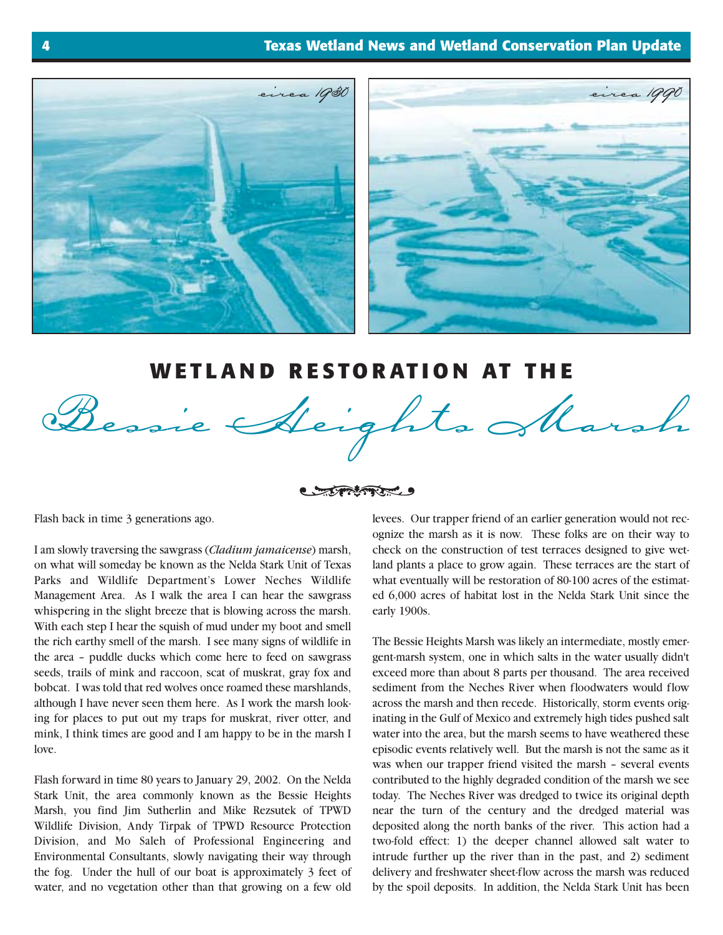



## **WETLAND RESTORATION AT THE**



#### Contractor

Flash back in time 3 generations ago.

I am slowly traversing the sawgrass (*Cladium jamaicense*) marsh, on what will someday be known as the Nelda Stark Unit of Texas Parks and Wildlife Department's Lower Neches Wildlife Management Area. As I walk the area I can hear the sawgrass whispering in the slight breeze that is blowing across the marsh. With each step I hear the squish of mud under my boot and smell the rich earthy smell of the marsh. I see many signs of wildlife in the area – puddle ducks which come here to feed on sawgrass seeds, trails of mink and raccoon, scat of muskrat, gray fox and bobcat. I was told that red wolves once roamed these marshlands, although I have never seen them here. As I work the marsh looking for places to put out my traps for muskrat, river otter, and mink, I think times are good and I am happy to be in the marsh I love.

Flash forward in time 80 years to January 29, 2002. On the Nelda Stark Unit, the area commonly known as the Bessie Heights Marsh, you find Jim Sutherlin and Mike Rezsutek of TPWD Wildlife Division, Andy Tirpak of TPWD Resource Protection Division, and Mo Saleh of Professional Engineering and Environmental Consultants, slowly navigating their way through the fog. Under the hull of our boat is approximately 3 feet of water, and no vegetation other than that growing on a few old

levees. Our trapper friend of an earlier generation would not recognize the marsh as it is now. These folks are on their way to check on the construction of test terraces designed to give wetland plants a place to grow again. These terraces are the start of what eventually will be restoration of 80-100 acres of the estimated 6,000 acres of habitat lost in the Nelda Stark Unit since the early 1900s.

The Bessie Heights Marsh was likely an intermediate, mostly emergent-marsh system, one in which salts in the water usually didn't exceed more than about 8 parts per thousand. The area received sediment from the Neches River when floodwaters would flow across the marsh and then recede. Historically, storm events originating in the Gulf of Mexico and extremely high tides pushed salt water into the area, but the marsh seems to have weathered these episodic events relatively well. But the marsh is not the same as it was when our trapper friend visited the marsh – several events contributed to the highly degraded condition of the marsh we see today. The Neches River was dredged to twice its original depth near the turn of the century and the dredged material was deposited along the north banks of the river. This action had a two-fold effect: 1) the deeper channel allowed salt water to intrude further up the river than in the past, and 2) sediment delivery and freshwater sheet-flow across the marsh was reduced by the spoil deposits. In addition, the Nelda Stark Unit has been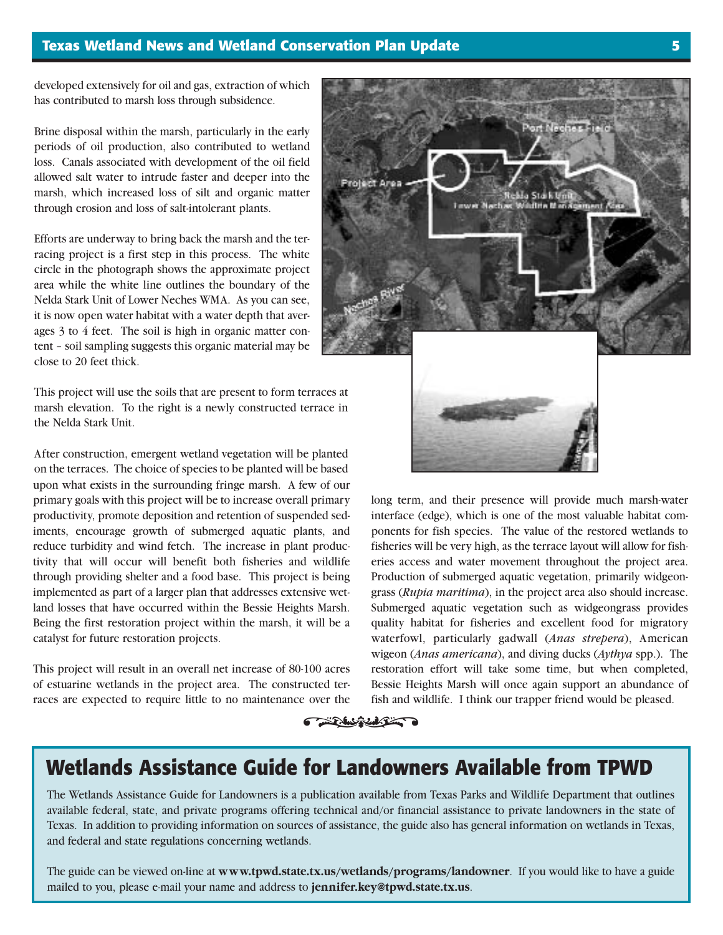developed extensively for oil and gas, extraction of which has contributed to marsh loss through subsidence.

Brine disposal within the marsh, particularly in the early periods of oil production, also contributed to wetland loss. Canals associated with development of the oil field allowed salt water to intrude faster and deeper into the marsh, which increased loss of silt and organic matter through erosion and loss of salt-intolerant plants.

Efforts are underway to bring back the marsh and the terracing project is a first step in this process. The white circle in the photograph shows the approximate project area while the white line outlines the boundary of the Nelda Stark Unit of Lower Neches WMA. As you can see, it is now open water habitat with a water depth that averages 3 to 4 feet. The soil is high in organic matter content – soil sampling suggests this organic material may be close to 20 feet thick.

This project will use the soils that are present to form terraces at marsh elevation. To the right is a newly constructed terrace in the Nelda Stark Unit.

After construction, emergent wetland vegetation will be planted on the terraces. The choice of species to be planted will be based upon what exists in the surrounding fringe marsh. A few of our primary goals with this project will be to increase overall primary productivity, promote deposition and retention of suspended sediments, encourage growth of submerged aquatic plants, and reduce turbidity and wind fetch. The increase in plant productivity that will occur will benefit both fisheries and wildlife through providing shelter and a food base. This project is being implemented as part of a larger plan that addresses extensive wetland losses that have occurred within the Bessie Heights Marsh. Being the first restoration project within the marsh, it will be a catalyst for future restoration projects.

This project will result in an overall net increase of 80-100 acres of estuarine wetlands in the project area. The constructed terraces are expected to require little to no maintenance over the



long term, and their presence will provide much marsh-water interface (edge), which is one of the most valuable habitat components for fish species. The value of the restored wetlands to fisheries will be very high, as the terrace layout will allow for fisheries access and water movement throughout the project area. Production of submerged aquatic vegetation, primarily widgeongrass (*Rupia maritima*), in the project area also should increase. Submerged aquatic vegetation such as widgeongrass provides quality habitat for fisheries and excellent food for migratory waterfowl, particularly gadwall (*Anas strepera*), American wigeon (*Anas americana*), and diving ducks (*Aythya* spp.). The restoration effort will take some time, but when completed, Bessie Heights Marsh will once again support an abundance of fish and wildlife. I think our trapper friend would be pleased.

# over the fish and w

# **Wetlands Assistance Guide for Landowners Available from TPWD**

The Wetlands Assistance Guide for Landowners is a publication available from Texas Parks and Wildlife Department that outlines available federal, state, and private programs offering technical and/or financial assistance to private landowners in the state of Texas. In addition to providing information on sources of assistance, the guide also has general information on wetlands in Texas, and federal and state regulations concerning wetlands.

The guide can be viewed on-line at **www.tpwd.state.tx.us/wetlands/programs/landowner**. If you would like to have a guide mailed to you, please e-mail your name and address to **jennifer.key@tpwd.state.tx.us**.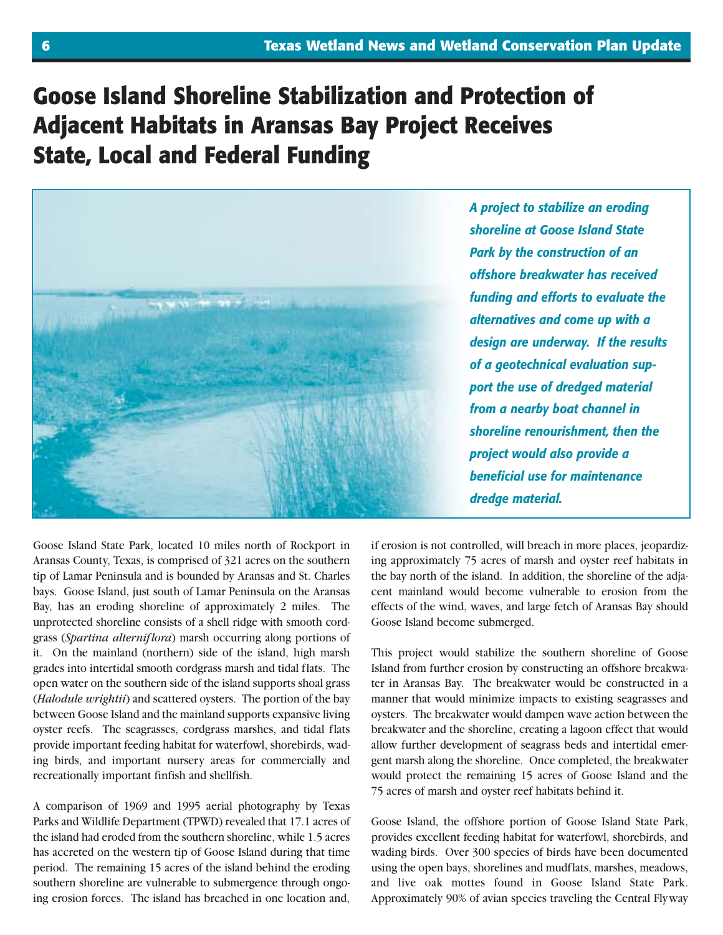# **Goose Island Shoreline Stabilization and Protection of Adjacent Habitats in Aransas Bay Project Receives State, Local and Federal Funding**



*A project to stabilize an eroding shoreline at Goose Island State Park by the construction of an offshore breakwater has received funding and efforts to evaluate the alternatives and come up with a design are underway. If the results of a geotechnical evaluation support the use of dredged material from a nearby boat channel in shoreline renourishment, then the project would also provide a beneficial use for maintenance dredge material.*

Goose Island State Park, located 10 miles north of Rockport in Aransas County, Texas, is comprised of 321 acres on the southern tip of Lamar Peninsula and is bounded by Aransas and St. Charles bays. Goose Island, just south of Lamar Peninsula on the Aransas Bay, has an eroding shoreline of approximately 2 miles. The unprotected shoreline consists of a shell ridge with smooth cordgrass (*Spartina alterniflora*) marsh occurring along portions of it. On the mainland (northern) side of the island, high marsh grades into intertidal smooth cordgrass marsh and tidal flats. The open water on the southern side of the island supports shoal grass (*Halodule wrightii*) and scattered oysters. The portion of the bay between Goose Island and the mainland supports expansive living oyster reefs. The seagrasses, cordgrass marshes, and tidal flats provide important feeding habitat for waterfowl, shorebirds, wading birds, and important nursery areas for commercially and recreationally important finfish and shellfish.

A comparison of 1969 and 1995 aerial photography by Texas Parks and Wildlife Department (TPWD) revealed that 17.1 acres of the island had eroded from the southern shoreline, while 1.5 acres has accreted on the western tip of Goose Island during that time period. The remaining 15 acres of the island behind the eroding southern shoreline are vulnerable to submergence through ongoing erosion forces. The island has breached in one location and,

if erosion is not controlled, will breach in more places, jeopardizing approximately 75 acres of marsh and oyster reef habitats in the bay north of the island. In addition, the shoreline of the adjacent mainland would become vulnerable to erosion from the effects of the wind, waves, and large fetch of Aransas Bay should Goose Island become submerged.

This project would stabilize the southern shoreline of Goose Island from further erosion by constructing an offshore breakwater in Aransas Bay. The breakwater would be constructed in a manner that would minimize impacts to existing seagrasses and oysters. The breakwater would dampen wave action between the breakwater and the shoreline, creating a lagoon effect that would allow further development of seagrass beds and intertidal emergent marsh along the shoreline. Once completed, the breakwater would protect the remaining 15 acres of Goose Island and the 75 acres of marsh and oyster reef habitats behind it.

Goose Island, the offshore portion of Goose Island State Park, provides excellent feeding habitat for waterfowl, shorebirds, and wading birds. Over 300 species of birds have been documented using the open bays, shorelines and mudflats, marshes, meadows, and live oak mottes found in Goose Island State Park. Approximately 90% of avian species traveling the Central Flyway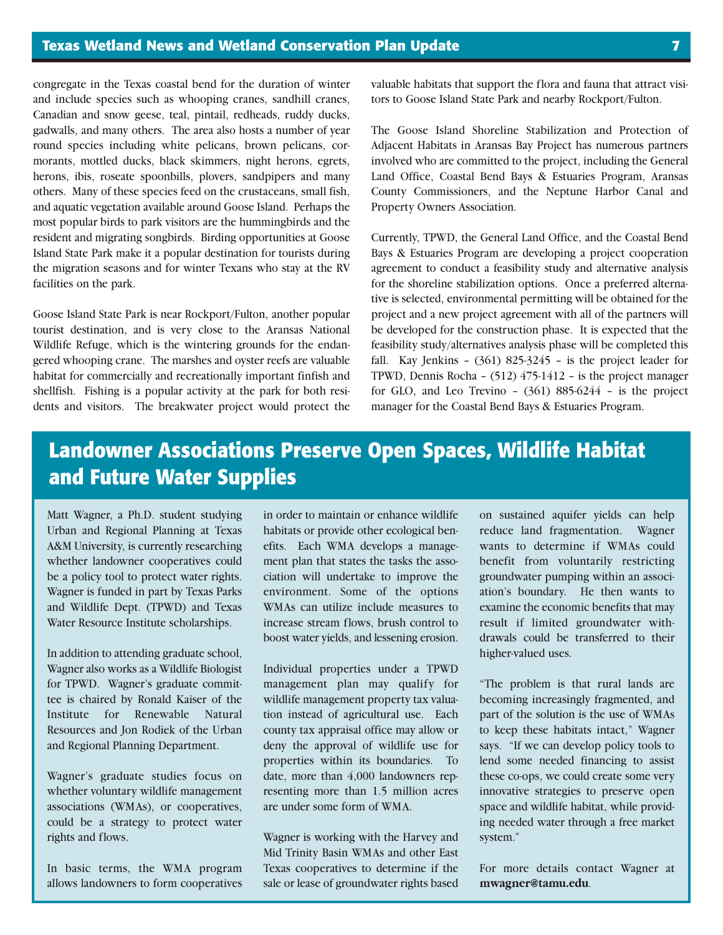congregate in the Texas coastal bend for the duration of winter and include species such as whooping cranes, sandhill cranes, Canadian and snow geese, teal, pintail, redheads, ruddy ducks, gadwalls, and many others. The area also hosts a number of year round species including white pelicans, brown pelicans, cormorants, mottled ducks, black skimmers, night herons, egrets, herons, ibis, roseate spoonbills, plovers, sandpipers and many others. Many of these species feed on the crustaceans, small fish, and aquatic vegetation available around Goose Island. Perhaps the most popular birds to park visitors are the hummingbirds and the resident and migrating songbirds. Birding opportunities at Goose Island State Park make it a popular destination for tourists during the migration seasons and for winter Texans who stay at the RV facilities on the park.

Goose Island State Park is near Rockport/Fulton, another popular tourist destination, and is very close to the Aransas National Wildlife Refuge, which is the wintering grounds for the endangered whooping crane. The marshes and oyster reefs are valuable habitat for commercially and recreationally important finfish and shellfish. Fishing is a popular activity at the park for both residents and visitors. The breakwater project would protect the valuable habitats that support the flora and fauna that attract visitors to Goose Island State Park and nearby Rockport/Fulton.

The Goose Island Shoreline Stabilization and Protection of Adjacent Habitats in Aransas Bay Project has numerous partners involved who are committed to the project, including the General Land Office, Coastal Bend Bays & Estuaries Program, Aransas County Commissioners, and the Neptune Harbor Canal and Property Owners Association.

Currently, TPWD, the General Land Office, and the Coastal Bend Bays & Estuaries Program are developing a project cooperation agreement to conduct a feasibility study and alternative analysis for the shoreline stabilization options. Once a preferred alternative is selected, environmental permitting will be obtained for the project and a new project agreement with all of the partners will be developed for the construction phase. It is expected that the feasibility study/alternatives analysis phase will be completed this fall. Kay Jenkins – (361) 825-3245 – is the project leader for TPWD, Dennis Rocha – (512) 475-1412 – is the project manager for GLO, and Leo Trevino  $(361)$  885-6244 – is the project manager for the Coastal Bend Bays & Estuaries Program.

# **Landowner Associations Preserve Open Spaces, Wildlife Habitat and Future Water Supplies**

Matt Wagner, a Ph.D. student studying Urban and Regional Planning at Texas A&M University, is currently researching whether landowner cooperatives could be a policy tool to protect water rights. Wagner is funded in part by Texas Parks and Wildlife Dept. (TPWD) and Texas Water Resource Institute scholarships.

In addition to attending graduate school, Wagner also works as a Wildlife Biologist for TPWD. Wagner's graduate committee is chaired by Ronald Kaiser of the Institute for Renewable Natural Resources and Jon Rodiek of the Urban and Regional Planning Department.

Wagner's graduate studies focus on whether voluntary wildlife management associations (WMAs), or cooperatives, could be a strategy to protect water rights and flows.

In basic terms, the WMA program allows landowners to form cooperatives in order to maintain or enhance wildlife habitats or provide other ecological benefits. Each WMA develops a management plan that states the tasks the association will undertake to improve the environment. Some of the options WMAs can utilize include measures to increase stream flows, brush control to boost water yields, and lessening erosion.

Individual properties under a TPWD management plan may qualify for wildlife management property tax valuation instead of agricultural use. Each county tax appraisal office may allow or deny the approval of wildlife use for properties within its boundaries. To date, more than 4,000 landowners representing more than 1.5 million acres are under some form of WMA.

Wagner is working with the Harvey and Mid Trinity Basin WMAs and other East Texas cooperatives to determine if the sale or lease of groundwater rights based on sustained aquifer yields can help reduce land fragmentation. Wagner wants to determine if WMAs could benefit from voluntarily restricting groundwater pumping within an association's boundary. He then wants to examine the economic benefits that may result if limited groundwater withdrawals could be transferred to their higher-valued uses.

"The problem is that rural lands are becoming increasingly fragmented, and part of the solution is the use of WMAs to keep these habitats intact," Wagner says. "If we can develop policy tools to lend some needed financing to assist these co-ops, we could create some very innovative strategies to preserve open space and wildlife habitat, while providing needed water through a free market system."

For more details contact Wagner at **mwagner@tamu.edu**.